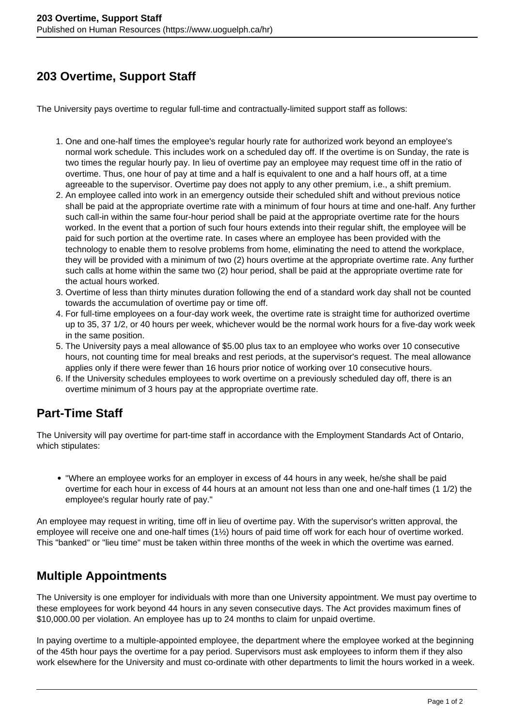## **203 Overtime, Support Staff**

The University pays overtime to regular full-time and contractually-limited support staff as follows:

- 1. One and one-half times the employee's regular hourly rate for authorized work beyond an employee's normal work schedule. This includes work on a scheduled day off. If the overtime is on Sunday, the rate is two times the regular hourly pay. In lieu of overtime pay an employee may request time off in the ratio of overtime. Thus, one hour of pay at time and a half is equivalent to one and a half hours off, at a time agreeable to the supervisor. Overtime pay does not apply to any other premium, i.e., a shift premium.
- 2. An employee called into work in an emergency outside their scheduled shift and without previous notice shall be paid at the appropriate overtime rate with a minimum of four hours at time and one-half. Any further such call-in within the same four-hour period shall be paid at the appropriate overtime rate for the hours worked. In the event that a portion of such four hours extends into their regular shift, the employee will be paid for such portion at the overtime rate. In cases where an employee has been provided with the technology to enable them to resolve problems from home, eliminating the need to attend the workplace, they will be provided with a minimum of two (2) hours overtime at the appropriate overtime rate. Any further such calls at home within the same two (2) hour period, shall be paid at the appropriate overtime rate for the actual hours worked.
- 3. Overtime of less than thirty minutes duration following the end of a standard work day shall not be counted towards the accumulation of overtime pay or time off.
- 4. For full-time employees on a four-day work week, the overtime rate is straight time for authorized overtime up to 35, 37 1/2, or 40 hours per week, whichever would be the normal work hours for a five-day work week in the same position.
- 5. The University pays a meal allowance of \$5.00 plus tax to an employee who works over 10 consecutive hours, not counting time for meal breaks and rest periods, at the supervisor's request. The meal allowance applies only if there were fewer than 16 hours prior notice of working over 10 consecutive hours.
- 6. If the University schedules employees to work overtime on a previously scheduled day off, there is an overtime minimum of 3 hours pay at the appropriate overtime rate.

## **Part-Time Staff**

The University will pay overtime for part-time staff in accordance with the Employment Standards Act of Ontario, which stipulates:

"Where an employee works for an employer in excess of 44 hours in any week, he/she shall be paid overtime for each hour in excess of 44 hours at an amount not less than one and one-half times (1 1/2) the employee's regular hourly rate of pay."

An employee may request in writing, time off in lieu of overtime pay. With the supervisor's written approval, the employee will receive one and one-half times (1½) hours of paid time off work for each hour of overtime worked. This "banked" or "lieu time" must be taken within three months of the week in which the overtime was earned.

## **Multiple Appointments**

The University is one employer for individuals with more than one University appointment. We must pay overtime to these employees for work beyond 44 hours in any seven consecutive days. The Act provides maximum fines of \$10,000.00 per violation. An employee has up to 24 months to claim for unpaid overtime.

In paying overtime to a multiple-appointed employee, the department where the employee worked at the beginning of the 45th hour pays the overtime for a pay period. Supervisors must ask employees to inform them if they also work elsewhere for the University and must co-ordinate with other departments to limit the hours worked in a week.